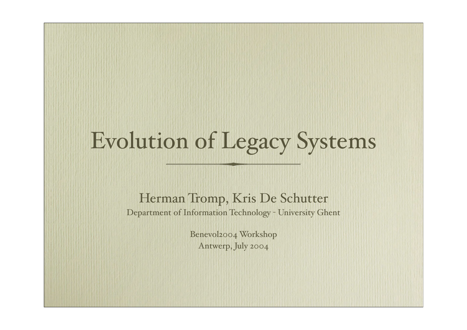## Evolution of Legacy Systems

#### Herman Tromp, Kris De Schutter

Department of Information Technology - University Ghent

Benevol2004 Workshop Antwerp, July 2004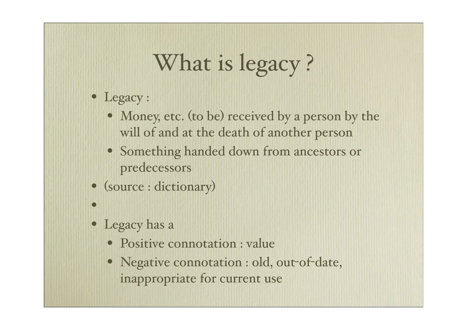## What is legacy?

- Legacy :
	- Money, etc. (to be) received by a person by the will of and at the death of another person
	- Something handed down from ancestors or predecessors
- (source : dictionary)
- Legacy has a

•

- Positive connotation : value
- Negative connotation : old, out-of-date, inappropriate for current use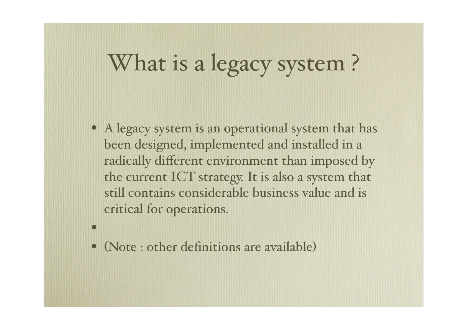#### What is a legacy system?

- A legacy system is an operational system that has been designed, implemented and installed in a radically different environment than imposed by the current ICT strategy. It is also a system that still contains considerable business value and is critical for operations.
- (Note : other definitions are available)

•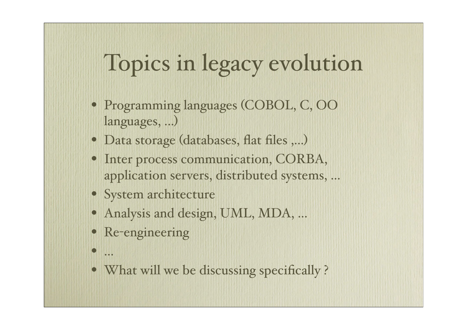## Topics in legacy evolution

- Programming languages (COBOL, C, OO languages, ...)
- Data storage (databases, flat files ,...)
- Inter process communication, CORBA, application servers, distributed systems, ...
- System architecture
- Analysis and design, UML, MDA, ...
- Re-engineering
- ...
- What will we be discussing specifically?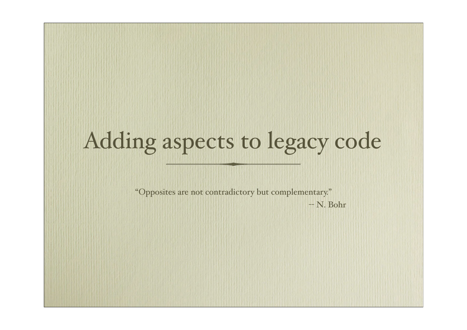# Adding aspects to legacy code

"Opposites are not contradictory but complementary."

-- N. Bohr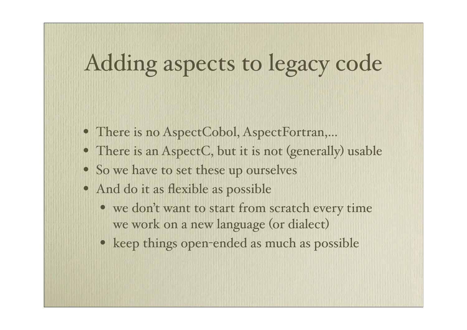#### Adding aspects to legacy code

- There is no AspectCobol, AspectFortran,...
- There is an AspectC, but it is not (generally) usable
- So we have to set these up ourselves
- And do it as flexible as possible
	- we don't want to start from scratch every time we work on a new language (or dialect)
	- keep things open-ended as much as possible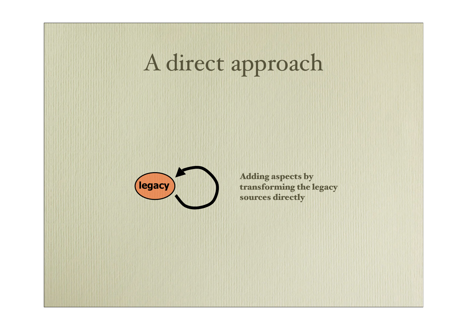# A direct approach



Adding aspects by transforming the legacy sources directly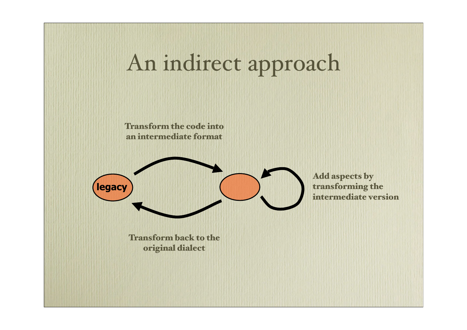#### An indirect approach

Transform the code into an intermediate format



Add aspects by transforming the intermediate version

Transform back to the original dialect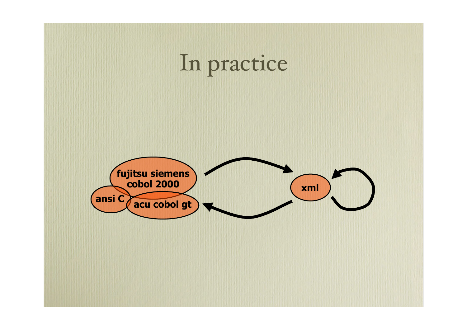